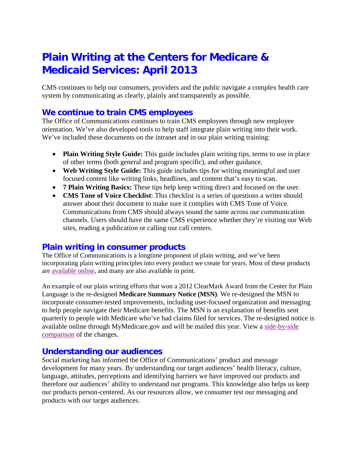# **Plain Writing at the Centers for Medicare & Medicaid Services: April 2013**

CMS continues to help our consumers, providers and the public navigate a complex health care system by communicating as clearly, plainly and transparently as possible.

## **We continue to train CMS employees**

The Office of Communications continues to train CMS employees through new employee orientation. We've also developed tools to help staff integrate plain writing into their work. We've included these documents on the intranet and in our plain writing training:

- **Plain Writing Style Guide:** This guide includes plain writing tips, terms to use in place of other terms (both general and program specific), and other guidance.
- **Web Writing Style Guide:** This guide includes tips for writing meaningful and user focused content like writing links, headlines, and content that's easy to scan.
- **7 Plain Writing Basics:** These tips help keep writing direct and focused on the user.
- **CMS Tone of Voice Checklist**: This checklist is a series of questions a writer should answer about their document to make sure it complies with CMS Tone of Voice. Communications from CMS should always sound the same across our communication channels. Users should have the same CMS experience whether they're visiting our Web sites, reading a publication or calling our call centers.

#### **Plain writing in consumer products**

The Office of Communications is a longtime proponent of plain writing, and we've been incorporating plain writing principles into every product we create for years. Most of these products are [available online,](http://www.medicare.gov/publications) and many are also available in print.

An example of our plain writing efforts that won a 2012 ClearMark Award from the Center for Plain Language is the re-designed **Medicare Summary Notice (MSN)**. We re-designed the MSN to incorporate consumer-tested improvements, including user-focused organization and messaging to help people navigate their Medicare benefits. The MSN is an explanation of benefits sent quarterly to people with Medicare who've had claims filed for services. The re-designed notice is available online through MyMedicare.gov and will be mailed this year. View a [side-by-side](http://www.cms.gov/apps/files/msn_changes.pdf)  [comparison](http://www.cms.gov/apps/files/msn_changes.pdf) of the changes.

#### **Understanding our audiences**

Social marketing has informed the Office of Communications' product and message development for many years. By understanding our target audiences' health literacy, culture, language, attitudes, perceptions and identifying barriers we have improved our products and therefore our audiences' ability to understand our programs. This knowledge also helps us keep our products person-centered. As our resources allow, we consumer test our messaging and products with our target audiences.